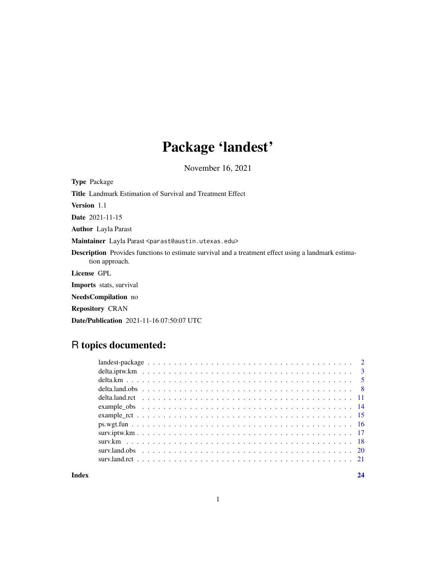## Package 'landest'

November 16, 2021

Type Package

Title Landmark Estimation of Survival and Treatment Effect

Version 1.1

Date 2021-11-15

Author Layla Parast

Maintainer Layla Parast <parast@austin.utexas.edu>

Description Provides functions to estimate survival and a treatment effect using a landmark estimation approach.

License GPL

Imports stats, survival

NeedsCompilation no

Repository CRAN

Date/Publication 2021-11-16 07:50:07 UTC

## R topics documented:

**Index** [24](#page-23-0)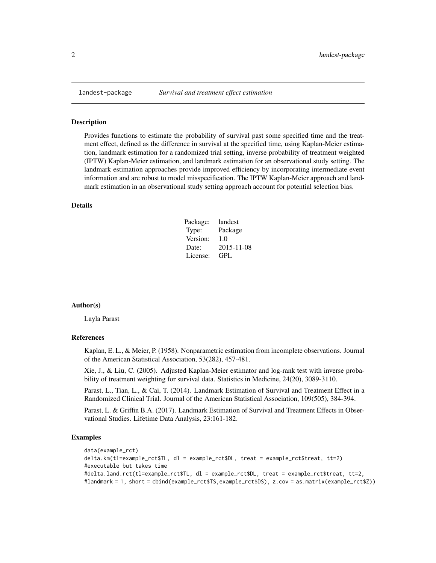#### Description

Provides functions to estimate the probability of survival past some specified time and the treatment effect, defined as the difference in survival at the specified time, using Kaplan-Meier estimation, landmark estimation for a randomized trial setting, inverse probability of treatment weighted (IPTW) Kaplan-Meier estimation, and landmark estimation for an observational study setting. The landmark estimation approaches provide improved efficiency by incorporating intermediate event information and are robust to model misspecification. The IPTW Kaplan-Meier approach and landmark estimation in an observational study setting approach account for potential selection bias.

#### Details

| Package: | landest    |
|----------|------------|
| Type:    | Package    |
| Version: | 1.0        |
| Date:    | 2015-11-08 |
| License: | GPL.       |

#### Author(s)

Layla Parast

#### References

Kaplan, E. L., & Meier, P. (1958). Nonparametric estimation from incomplete observations. Journal of the American Statistical Association, 53(282), 457-481.

Xie, J., & Liu, C. (2005). Adjusted Kaplan-Meier estimator and log-rank test with inverse probability of treatment weighting for survival data. Statistics in Medicine, 24(20), 3089-3110.

Parast, L., Tian, L., & Cai, T. (2014). Landmark Estimation of Survival and Treatment Effect in a Randomized Clinical Trial. Journal of the American Statistical Association, 109(505), 384-394.

Parast, L. & Griffin B.A. (2017). Landmark Estimation of Survival and Treatment Effects in Observational Studies. Lifetime Data Analysis, 23:161-182.

#### Examples

```
data(example_rct)
delta.km(tl=example_rct$TL, dl = example_rct$DL, treat = example_rct$treat, tt=2)
#executable but takes time
#delta.land.rct(tl=example_rct$TL, dl = example_rct$DL, treat = example_rct$treat, tt=2,
#landmark = 1, short = cbind(example_rct$TS,example_rct$DS), z.cov = as.matrix(example_rct$Z))
```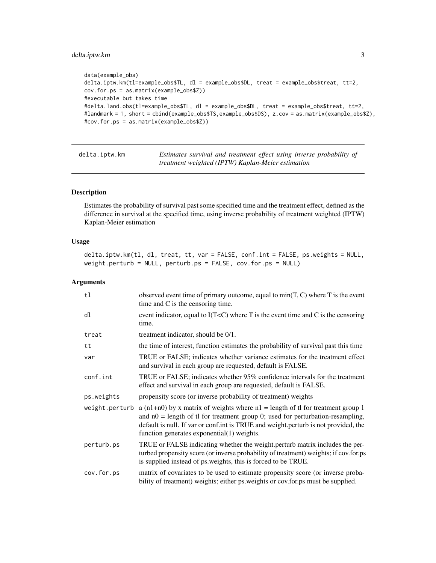## <span id="page-2-0"></span>delta.iptw.km 3

```
data(example_obs)
delta.iptw.km(tl=example_obs$TL, dl = example_obs$DL, treat = example_obs$treat, tt=2,
cov.for.ps = as.matrix(example_obs$Z))
#executable but takes time
#delta.land.obs(tl=example_obs$TL, dl = example_obs$DL, treat = example_obs$treat, tt=2,
#landmark = 1, short = cbind(example_obs$TS,example_obs$DS), z.cov = as.matrix(example_obs$Z),
#cov.for.ps = as.matrix(example_obs$Z))
```

| delta.iptw.km | Estimates survival and treatment effect using inverse probability of |
|---------------|----------------------------------------------------------------------|
|               | treatment weighted (IPTW) Kaplan-Meier estimation                    |

## Description

Estimates the probability of survival past some specified time and the treatment effect, defined as the difference in survival at the specified time, using inverse probability of treatment weighted (IPTW) Kaplan-Meier estimation

#### Usage

delta.iptw.km(tl, dl, treat, tt, var = FALSE, conf.int = FALSE, ps.weights = NULL, weight.perturb = NULL, perturb.ps = FALSE, cov.for.ps = NULL)

## Arguments

| tl             | observed event time of primary outcome, equal to $min(T, C)$ where T is the event<br>time and C is the censoring time.                                                                                                                                                                                    |
|----------------|-----------------------------------------------------------------------------------------------------------------------------------------------------------------------------------------------------------------------------------------------------------------------------------------------------------|
| dl             | event indicator, equal to $I(T\le C)$ where T is the event time and C is the censoring<br>time.                                                                                                                                                                                                           |
| treat          | treatment indicator, should be 0/1.                                                                                                                                                                                                                                                                       |
| tt             | the time of interest, function estimates the probability of survival past this time                                                                                                                                                                                                                       |
| var            | TRUE or FALSE; indicates whether variance estimates for the treatment effect<br>and survival in each group are requested, default is FALSE.                                                                                                                                                               |
| conf.int       | TRUE or FALSE; indicates whether 95% confidence intervals for the treatment<br>effect and survival in each group are requested, default is FALSE.                                                                                                                                                         |
| ps.weights     | propensity score (or inverse probability of treatment) weights                                                                                                                                                                                                                                            |
| weight.perturb | a (n1+n0) by x matrix of weights where $nl$ = length of tl for treatment group 1<br>and $n0$ = length of tl for treatment group 0; used for perturbation-resampling,<br>default is null. If var or conf.int is TRUE and weight.perturb is not provided, the<br>function generates exponential(1) weights. |
| perturb.ps     | TRUE or FALSE indicating whether the weight perturb matrix includes the per-<br>turbed propensity score (or inverse probability of treatment) weights; if cov.for.ps<br>is supplied instead of ps.weights, this is forced to be TRUE.                                                                     |
| cov.for.ps     | matrix of covariates to be used to estimate propensity score (or inverse proba-<br>bility of treatment) weights; either ps. weights or cov. for. ps must be supplied.                                                                                                                                     |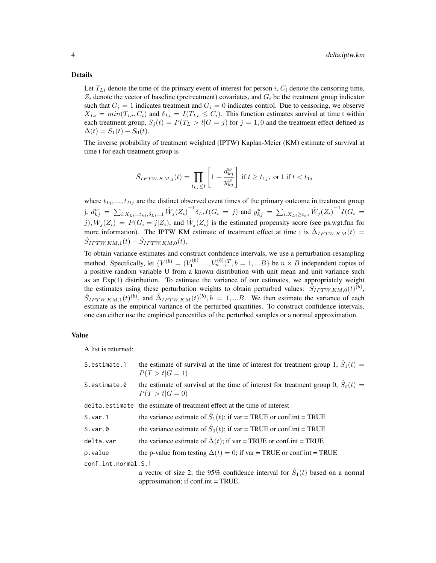#### Details

Let  $T_{Li}$  denote the time of the primary event of interest for person i,  $C_i$  denote the censoring time,  $Z_i$  denote the vector of baseline (pretreatment) covariates, and  $G_i$  be the treatment group indicator such that  $G_i = 1$  indicates treatment and  $G_i = 0$  indicates control. Due to censoring, we observe  $X_{Li} = min(T_{Li}, C_i)$  and  $\delta_{Li} = I(T_{Li} \leq C_i)$ . This function estimates survival at time t within each treatment group,  $S_i(t) = P(T_L > t | G = j)$  for  $j = 1, 0$  and the treatment effect defined as  $\Delta(t) = S_1(t) - S_0(t).$ 

The inverse probability of treatment weighted (IPTW) Kaplan-Meier (KM) estimate of survival at time t for each treatment group is

$$
\hat{S}_{IPTW,KM,j}(t) = \prod_{t_{kj}\leq t} \left[1 - \frac{d_{kj}^w}{y_{kj}^w}\right] \text{ if } t \geq t_{1j}, \text{ or } 1 \text{ if } t < t_{1j}
$$

where  $t_{1j}, ..., t_{Dj}$  are the distinct observed event times of the primary outcome in treatment group j,  $d_{kj}^w = \sum_{i:X_{Li}=t_{kj},\delta_{Li}=1} \hat{W}_j(Z_i)^{-1} \delta_{Li} I(G_i = j)$  and  $y_{kj}^w = \sum_{i:X_{Li}\geq t_{kj}} \hat{W}_j(Z_i)^{-1} I(G_i = j)$  $j, W_j(Z_i) = P(G_i = j | Z_i)$ , and  $\hat{W}_j(Z_i)$  is the estimated propensity score (see ps.wgt.fun for more information). The IPTW KM estimate of treatment effect at time t is  $\hat{\Delta}_{IPTW,KM}(t)$  =  $\hat{S}_{IPTW,KM,1}(t) - \hat{S}_{IPTW,KM,0}(t).$ 

To obtain variance estimates and construct confidence intervals, we use a perturbation-resampling method. Specifically, let  $\{V^{(b)} = (V_1^{(b)}, ..., V_n^{(b)})^T, b = 1, ...B\}$  be  $n \times B$  independent copies of a positive random variable U from a known distribution with unit mean and unit variance such as an  $Exp(1)$  distribution. To estimate the variance of our estimates, we appropriately weight the estimates using these perturbation weights to obtain perturbed values:  $\hat{\delta}_{IPTW,KM,0}(t)^{(b)}$ ,  $\hat{S}_{IPTW,KM,1}(t)^{(b)}$ , and  $\hat{\Delta}_{IPTW,KM}(t)^{(b)}, b = 1,...B$ . We then estimate the variance of each estimate as the empirical variance of the perturbed quantities. To construct confidence intervals, one can either use the empirical percentiles of the perturbed samples or a normal approximation.

#### Value

A list is returned:

| S.estimate.1        | the estimate of survival at the time of interest for treatment group 1, $\hat{S}_1(t)$ =<br>$P(T > t   G = 1)$                            |  |
|---------------------|-------------------------------------------------------------------------------------------------------------------------------------------|--|
| S.estimate.0        | the estimate of survival at the time of interest for treatment group 0, $\hat{S}_0(t)$ =<br>$P(T > t   G = 0)$                            |  |
|                     | delta.estimate the estimate of treatment effect at the time of interest                                                                   |  |
| S.var.1             | the variance estimate of $\hat{S}_1(t)$ ; if var = TRUE or conf.int = TRUE                                                                |  |
| $S.var.$ 0          | the variance estimate of $\hat{S}_0(t)$ ; if var = TRUE or conf.int = TRUE                                                                |  |
| delta.var           | the variance estimate of $\hat{\Delta}(t)$ ; if var = TRUE or conf.int = TRUE                                                             |  |
| p.value             | the p-value from testing $\Delta(t) = 0$ ; if var = TRUE or conf.int = TRUE                                                               |  |
| conf.int.normal.S.1 |                                                                                                                                           |  |
|                     | a vector of size 2; the 95% confidence interval for $\hat{S}_1(t)$ based on a normal<br>approximation; if $\text{conf.int} = \text{TRUE}$ |  |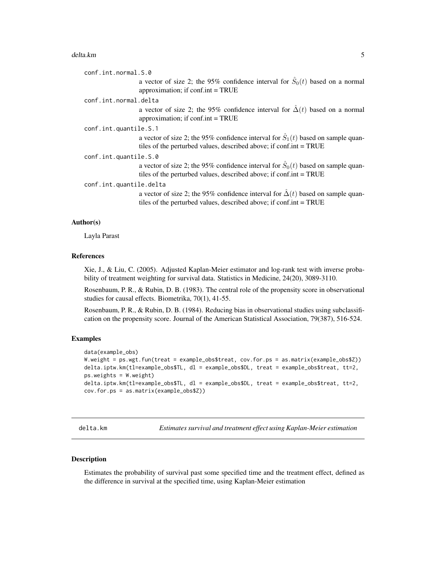#### <span id="page-4-0"></span>delta.km 5

```
conf.int.normal.S.0
                   a vector of size 2; the 95% confidence interval for \hat{S}_0(t) based on a normal
                   approximation; if conf.int = TRUE
conf.int.normal.delta
                   a vector of size 2; the 95% confidence interval for \hat{\Delta}(t) based on a normal
                   approximation; if conf.int = TRUE
conf.int.quantile.S.1
                   a vector of size 2; the 95% confidence interval for \hat{S}_1(t) based on sample quan-
                   tiles of the perturbed values, described above; if conf.int = TRUE
conf.int.quantile.S.0
                   a vector of size 2; the 95% confidence interval for \hat{S}_0(t) based on sample quan-
                   tiles of the perturbed values, described above; if conf.int = TRUE
conf.int.quantile.delta
                   a vector of size 2; the 95% confidence interval for \Delta(t) based on sample quan-
```
#### Author(s)

Layla Parast

#### References

Xie, J., & Liu, C. (2005). Adjusted Kaplan-Meier estimator and log-rank test with inverse probability of treatment weighting for survival data. Statistics in Medicine, 24(20), 3089-3110.

tiles of the perturbed values, described above; if conf.int = TRUE

Rosenbaum, P. R., & Rubin, D. B. (1983). The central role of the propensity score in observational studies for causal effects. Biometrika, 70(1), 41-55.

Rosenbaum, P. R., & Rubin, D. B. (1984). Reducing bias in observational studies using subclassification on the propensity score. Journal of the American Statistical Association, 79(387), 516-524.

#### Examples

```
data(example_obs)
W.weight = ps.wgt.fun(treat = example_obs$treat, cov.for.ps = as.matrix(example_obs$Z))
delta.iptw.km(tl=example_obs$TL, dl = example_obs$DL, treat = example_obs$treat, tt=2,
ps.weights = W.weight)
delta.iptw.km(tl=example_obs$TL, dl = example_obs$DL, treat = example_obs$treat, tt=2,
cov.for.ps = as.matrix(example_obs$Z))
```
delta.km *Estimates survival and treatment effect using Kaplan-Meier estimation*

#### Description

Estimates the probability of survival past some specified time and the treatment effect, defined as the difference in survival at the specified time, using Kaplan-Meier estimation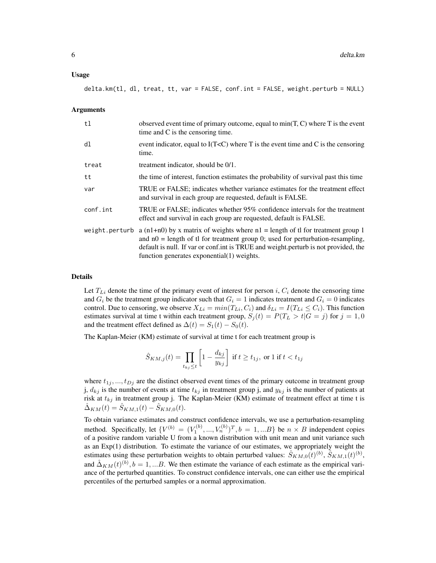#### Usage

delta.km(tl, dl, treat, tt, var = FALSE, conf.int = FALSE, weight.perturb = NULL)

#### Arguments

| t1             | observed event time of primary outcome, equal to $min(T, C)$ where T is the event<br>time and C is the censoring time.                                                                                                                                                                                       |
|----------------|--------------------------------------------------------------------------------------------------------------------------------------------------------------------------------------------------------------------------------------------------------------------------------------------------------------|
| d1             | event indicator, equal to $I(TC)$ where T is the event time and C is the censoring<br>time.                                                                                                                                                                                                                  |
| treat          | treatment indicator, should be 0/1.                                                                                                                                                                                                                                                                          |
| tt             | the time of interest, function estimates the probability of survival past this time                                                                                                                                                                                                                          |
| var            | TRUE or FALSE; indicates whether variance estimates for the treatment effect<br>and survival in each group are requested, default is FALSE.                                                                                                                                                                  |
| conf.int       | TRUE or FALSE; indicates whether 95% confidence intervals for the treatment<br>effect and survival in each group are requested, default is FALSE.                                                                                                                                                            |
| weight.perturb | a (n1+n0) by x matrix of weights where $n1$ = length of tl for treatment group 1<br>and $n0$ = length of tl for treatment group 0; used for perturbation-resampling,<br>default is null. If var or conf.int is TRUE and weight.perturb is not provided, the<br>function generates exponential $(1)$ weights. |

#### Details

Let  $T_{Li}$  denote the time of the primary event of interest for person i,  $C_i$  denote the censoring time and  $G_i$  be the treatment group indicator such that  $G_i = 1$  indicates treatment and  $G_i = 0$  indicates control. Due to censoring, we observe  $X_{Li} = min(T_{Li}, C_i)$  and  $\delta_{Li} = I(T_{Li} \le C_i)$ . This function estimates survival at time t within each treatment group,  $S_j(t) = P(T_L > t | G = j)$  for  $j = 1, 0$ and the treatment effect defined as  $\Delta(t) = S_1(t) - S_0(t)$ .

The Kaplan-Meier (KM) estimate of survival at time t for each treatment group is

$$
\hat{S}_{KM,j}(t) = \prod_{t_{kj} \le t} \left[ 1 - \frac{d_{kj}}{y_{kj}} \right] \text{ if } t \ge t_{1j}, \text{ or } 1 \text{ if } t < t_{1j}
$$

where  $t_{1j}$ , ...,  $t_{Dj}$  are the distinct observed event times of the primary outcome in treatment group j,  $d_{kj}$  is the number of events at time  $t_{kj}$  in treatment group j, and  $y_{kj}$  is the number of patients at risk at  $t_{kj}$  in treatment group j. The Kaplan-Meier (KM) estimate of treatment effect at time t is  $\hat{\Delta}_{KM}(t) = \hat{S}_{KM,1}(t) - \hat{S}_{KM,0}(t).$ 

To obtain variance estimates and construct confidence intervals, we use a perturbation-resampling method. Specifically, let  $\{V^{(b)} = (V_1^{(b)}, ..., V_n^{(b)})^T, b = 1, ...B\}$  be  $n \times B$  independent copies of a positive random variable U from a known distribution with unit mean and unit variance such as an Exp(1) distribution. To estimate the variance of our estimates, we appropriately weight the estimates using these perturbation weights to obtain perturbed values:  $\hat{S}_{KM,0}(t)^{(b)}$ ,  $\hat{S}_{KM,1}(t)^{(b)}$ , and  $\hat{\Delta}_{KM}(t)^{(b)}, b = 1,...B$ . We then estimate the variance of each estimate as the empirical variance of the perturbed quantities. To construct confidence intervals, one can either use the empirical percentiles of the perturbed samples or a normal approximation.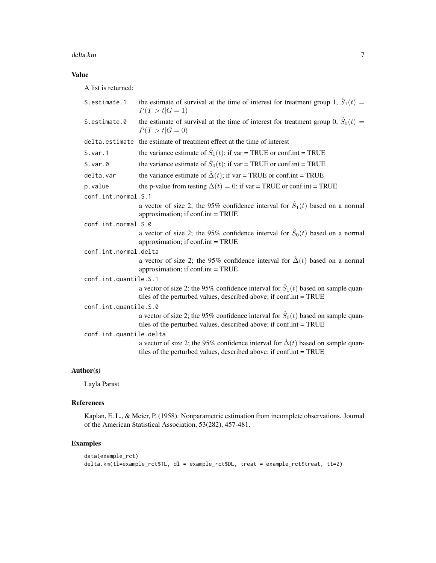#### delta.km  $\sim$  7

## Value

A list is returned:

| S.estimate.1            | the estimate of survival at the time of interest for treatment group 1, $\hat{S}_1(t)$ =<br>$P(T > t   G = 1)$                                                    |  |
|-------------------------|-------------------------------------------------------------------------------------------------------------------------------------------------------------------|--|
| S.estimate.0            | the estimate of survival at the time of interest for treatment group 0, $\hat{S}_0(t)$ =<br>$P(T > t   G = 0)$                                                    |  |
|                         | delta.estimate the estimate of treatment effect at the time of interest                                                                                           |  |
| S.var.1                 | the variance estimate of $\hat{S}_1(t)$ ; if var = TRUE or conf.int = TRUE                                                                                        |  |
| $S.var.$ 0              | the variance estimate of $\hat{S}_0(t)$ ; if var = TRUE or conf.int = TRUE                                                                                        |  |
| delta.var               | the variance estimate of $\hat{\Delta}(t)$ ; if var = TRUE or conf.int = TRUE                                                                                     |  |
| p.value                 | the p-value from testing $\Delta(t) = 0$ ; if var = TRUE or conf.int = TRUE                                                                                       |  |
| conf.int.normal.S.1     |                                                                                                                                                                   |  |
|                         | a vector of size 2; the 95% confidence interval for $\hat{S}_1(t)$ based on a normal<br>approximation; if conf.int = TRUE                                         |  |
| conf.int.normal.S.0     |                                                                                                                                                                   |  |
|                         | a vector of size 2; the 95% confidence interval for $\hat{S}_0(t)$ based on a normal<br>approximation; if $\text{conf.int} = \text{TRUE}$                         |  |
| conf.int.normal.delta   |                                                                                                                                                                   |  |
|                         | a vector of size 2; the 95% confidence interval for $\hat{\Delta}(t)$ based on a normal<br>approximation; if conf.int = TRUE                                      |  |
| conf.int.quantile.S.1   |                                                                                                                                                                   |  |
|                         | a vector of size 2; the 95% confidence interval for $\hat{S}_1(t)$ based on sample quan-<br>tiles of the perturbed values, described above; if conf.int = TRUE    |  |
| conf.int.quantile.S.0   |                                                                                                                                                                   |  |
|                         | a vector of size 2; the 95% confidence interval for $\hat{S}_0(t)$ based on sample quan-<br>tiles of the perturbed values, described above; if conf.int = TRUE    |  |
| conf.int.quantile.delta |                                                                                                                                                                   |  |
|                         | a vector of size 2; the 95% confidence interval for $\hat{\Delta}(t)$ based on sample quan-<br>tiles of the perturbed values, described above; if conf.int = TRUE |  |

## Author(s)

Layla Parast

## References

Kaplan, E. L., & Meier, P. (1958). Nonparametric estimation from incomplete observations. Journal of the American Statistical Association, 53(282), 457-481.

## Examples

```
data(example_rct)
delta.km(tl=example_rct$TL, dl = example_rct$DL, treat = example_rct$treat, tt=2)
```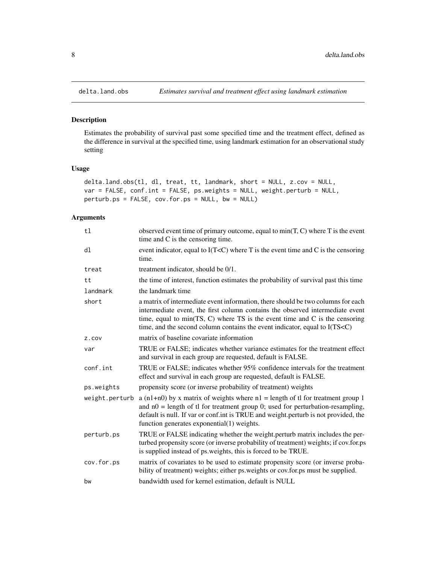## Description

Estimates the probability of survival past some specified time and the treatment effect, defined as the difference in survival at the specified time, using landmark estimation for an observational study setting

## Usage

```
delta.land.obs(tl, dl, treat, tt, landmark, short = NULL, z.cov = NULL,
var = FALSE, conf.int = FALSE, ps.weights = NULL, weight.perturb = NULL,
perturb.ps = FALSE, cov.for.ps = NULL, bw = NULL)
```
## Arguments

| t1             | observed event time of primary outcome, equal to $min(T, C)$ where T is the event<br>time and $C$ is the censoring time.                                                                                                                                                                                                                        |
|----------------|-------------------------------------------------------------------------------------------------------------------------------------------------------------------------------------------------------------------------------------------------------------------------------------------------------------------------------------------------|
| dl             | event indicator, equal to $I(T< C)$ where T is the event time and C is the censoring<br>time.                                                                                                                                                                                                                                                   |
| treat          | treatment indicator, should be 0/1.                                                                                                                                                                                                                                                                                                             |
| tt             | the time of interest, function estimates the probability of survival past this time                                                                                                                                                                                                                                                             |
| landmark       | the landmark time                                                                                                                                                                                                                                                                                                                               |
| short          | a matrix of intermediate event information, there should be two columns for each<br>intermediate event, the first column contains the observed intermediate event<br>time, equal to min(TS, C) where TS is the event time and $C$ is the censoring<br>time, and the second column contains the event indicator, equal to I(TS <c)< td=""></c)<> |
| Z.COV          | matrix of baseline covariate information                                                                                                                                                                                                                                                                                                        |
| var            | TRUE or FALSE; indicates whether variance estimates for the treatment effect<br>and survival in each group are requested, default is FALSE.                                                                                                                                                                                                     |
| conf.int       | TRUE or FALSE; indicates whether 95% confidence intervals for the treatment<br>effect and survival in each group are requested, default is FALSE.                                                                                                                                                                                               |
| ps.weights     | propensity score (or inverse probability of treatment) weights                                                                                                                                                                                                                                                                                  |
| weight.perturb | a (n1+n0) by x matrix of weights where $nl$ = length of tl for treatment group 1<br>and $n0$ = length of tl for treatment group 0; used for perturbation-resampling,<br>default is null. If var or conf.int is TRUE and weight.perturb is not provided, the<br>function generates exponential(1) weights.                                       |
| perturb.ps     | TRUE or FALSE indicating whether the weight.perturb matrix includes the per-<br>turbed propensity score (or inverse probability of treatment) weights; if cov.for.ps<br>is supplied instead of ps.weights, this is forced to be TRUE.                                                                                                           |
| cov.for.ps     | matrix of covariates to be used to estimate propensity score (or inverse proba-<br>bility of treatment) weights; either ps.weights or cov.for.ps must be supplied.                                                                                                                                                                              |
| bw             | bandwidth used for kernel estimation, default is NULL                                                                                                                                                                                                                                                                                           |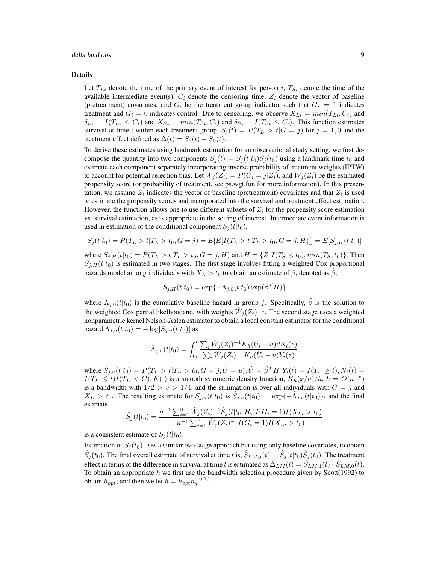### delta.land.obs 9

#### Details

Let  $T_{Li}$  denote the time of the primary event of interest for person i,  $T_{Si}$  denote the time of the available intermediate event(s),  $C_i$  denote the censoring time,  $Z_i$  denote the vector of baseline (pretreatment) covariates, and  $G_i$  be the treatment group indicator such that  $G_i = 1$  indicates treatment and  $G_i = 0$  indicates control. Due to censoring, we observe  $X_{Li} = min(T_{Li}, C_i)$  and  $\delta_{Li} = I(T_{Li} \leq C_i)$  and  $X_{Si} = min(T_{Si}, C_i)$  and  $\delta_{Si} = I(T_{Si} \leq C_i)$ . This function estimates survival at time t within each treatment group,  $S_i(t) = P(T_L > t | G = j)$  for  $j = 1, 0$  and the treatment effect defined as  $\Delta(t) = S_1(t) - S_0(t)$ .

To derive these estimates using landmark estimation for an observational study setting, we first decompose the quantity into two components  $S_i(t) = S_i(t|t_0)S_i(t_0)$  using a landmark time  $t_0$  and estimate each component separately incorporating inverse probability of treatment weights (IPTW) to account for potential selection bias. Let  $W_j(Z_i) = P(\hat{G}_i = j | Z_i)$ , and  $\hat{W}_j(Z_i)$  be the estimated propensity score (or probability of treatment, see ps.wgt.fun for more information). In this presentation, we assume  $Z_i$  indicates the vector of baseline (pretreatment) covariates and that  $Z_i$  is used to estimate the propensity scores and incorporated into the survival and treatment effect estimation. However, the function allows one to use different subsets of  $Z_i$  for the propensity score estimation vs. survival estimation, as is appropriate in the setting of interest. Intermediate event information is used in estimation of the conditional component  $S_i(t|t_0)$ ,

$$
S_j(t|t_0) = P(T_L > t|T_L > t_0, G = j) = E[E[I(T_L > t|T_L > t_0, G = j, H)]] = E[S_{j,H}(t|t_0)]
$$

where  $S_{j,H}(t|t_0) = P(T_L > t|T_L > t_0, G = j, H)$  and  $H = \{Z, I(T_S \le t_0), min(T_S, t_0)\}$ . Then  $S_{i,H}(t|t_0)$  is estimated in two stages. The first stage involves fitting a weighted Cox proportional hazards model among individuals with  $X_L > t_0$  to obtain an estimate of  $\beta$ , denoted as  $\hat{\beta}$ ,

$$
S_{j,H}(t|t_0) = \exp\{-\Lambda_{j,0}(t|t_0) \exp(\beta^T H)\}
$$

where  $\Lambda_{j,0}(t|t_0)$  is the cumulative baseline hazard in group j. Specifically,  $\hat{\beta}$  is the solution to the weighted Cox partial likelhoodand, with weights  $\hat{W}_j(Z_i)^{-1}$ . The second stage uses a weighted nonparametric kernel Nelson-Aalen estimator to obtain a local constant estimator for the conditional hazard  $\Lambda_{j,u}(t|t_0) = -\log[S_{j,u}(t|t_0)]$  as

$$
\hat{\Lambda}_{j,u}(t|t_0) = \int_{t_0}^t \frac{\sum_i \hat{W}_j(Z_i)^{-1} K_h(\hat{U}_i - u) dN_i(z)}{\sum_i \hat{W}_j(Z_i)^{-1} K_h(\hat{U}_i - u) Y_i(z)}
$$

where  $S_{j,u}(t|t_0) = P(T_L > t | T_L > t_0, G = j, \hat{U} = u), \hat{U} = \hat{\beta}^T H, Y_i(t) = I(T_L \ge t), N_i(t) =$  $I(T_L \leq t)I(T_L < C), K(\cdot)$  is a smooth symmetric density function,  $K_h(x/h)/h$ ,  $h = O(n^{-v})$ is a bandwidth with  $1/2 > v > 1/4$ , and the summation is over all individuals with  $G = j$  and  $X_L > t_0$ . The resulting estimate for  $S_{j,u}(t|t_0)$  is  $\hat{S}_{j,u}(t|t_0) = \exp\{-\hat{\Lambda}_{j,u}(t|t_0)\}$ , and the final estimate

$$
\hat{S}_j(t|t_0) = \frac{n^{-1} \sum_{i=1}^n \hat{W}_j(Z_i)^{-1} \hat{S}_j(t|t_0, H_i) I(G_i = 1) I(X_{Li} > t_0)}{n^{-1} \sum_{i=1}^n \hat{W}_j(Z_i)^{-1} I(G_i = 1) I(X_{Li} > t_0)}
$$

is a consistent estimate of  $S_i(t|t_0)$ .

Estimation of  $S_j(t_0)$  uses a similar two-stage approach but using only baseline covariates, to obtain  $\hat{S}_j(t_0)$ . The final overall estimate of survival at time t is,  $\hat{S}_{LM,j}(t)=\hat{S}_j(t|t_0)\hat{S}_j(t_0)$ . The treatment effect in terms of the difference in survival at time t is estimated as  $\Delta_{LM}(t) = \dot{S}_{LM,1}(t) - \dot{S}_{LM,0}(t)$ . To obtain an appropriate  $h$  we first use the bandwidth selection procedure given by Scott(1992) to obtain  $h_{opt}$ ; and then we let  $h = h_{opt} n_j^{-0.10}$ .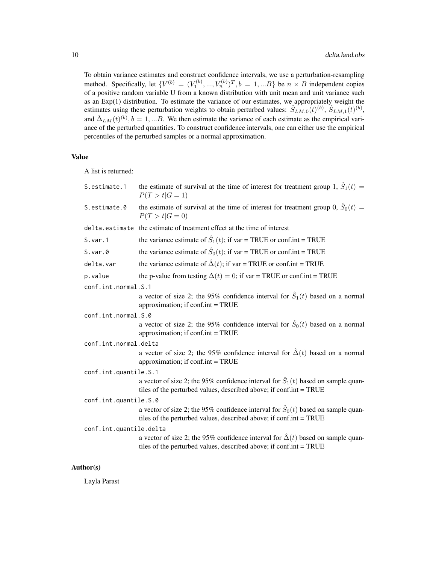To obtain variance estimates and construct confidence intervals, we use a perturbation-resampling method. Specifically, let  $\{V^{(b)} = (V_1^{(b)}, ..., V_n^{(b)})^T, b = 1, ...B\}$  be  $n \times B$  independent copies of a positive random variable U from a known distribution with unit mean and unit variance such as an Exp(1) distribution. To estimate the variance of our estimates, we appropriately weight the estimates using these perturbation weights to obtain perturbed values:  $\hat{S}_{LM,0}(t)^{(b)}$ ,  $\hat{S}_{LM,1}(t)^{(b)}$ , and  $\hat{\Delta}_{LM}(t)^{(b)}, b = 1,...B$ . We then estimate the variance of each estimate as the empirical variance of the perturbed quantities. To construct confidence intervals, one can either use the empirical percentiles of the perturbed samples or a normal approximation.

## Value

A list is returned:

| S.estimate.1            | the estimate of survival at the time of interest for treatment group 1, $\hat{S}_1(t)$ =<br>$P(T > t   G = 1)$                                                    |  |
|-------------------------|-------------------------------------------------------------------------------------------------------------------------------------------------------------------|--|
| S.estimate.0            | the estimate of survival at the time of interest for treatment group 0, $\hat{S}_0(t)$ =<br>$P(T > t   G = 0)$                                                    |  |
|                         | delta.estimate the estimate of treatment effect at the time of interest                                                                                           |  |
| S.var.1                 | the variance estimate of $\hat{S}_1(t)$ ; if var = TRUE or conf.int = TRUE                                                                                        |  |
| $S.var.$ 0              | the variance estimate of $\hat{S}_0(t)$ ; if var = TRUE or conf.int = TRUE                                                                                        |  |
| delta.var               | the variance estimate of $\hat{\Delta}(t)$ ; if var = TRUE or conf.int = TRUE                                                                                     |  |
| p.value                 | the p-value from testing $\Delta(t) = 0$ ; if var = TRUE or conf.int = TRUE                                                                                       |  |
| conf.int.normal.S.1     |                                                                                                                                                                   |  |
|                         | a vector of size 2; the 95% confidence interval for $\hat{S}_1(t)$ based on a normal<br>approximation; if conf.int = TRUE                                         |  |
| conf.int.normal.S.0     |                                                                                                                                                                   |  |
|                         | a vector of size 2; the 95% confidence interval for $\hat{S}_0(t)$ based on a normal<br>approximation; if $\text{conf.int} = \text{TRUE}$                         |  |
| conf.int.normal.delta   |                                                                                                                                                                   |  |
|                         | a vector of size 2; the 95% confidence interval for $\hat{\Delta}(t)$ based on a normal<br>approximation; if conf.int = TRUE                                      |  |
| conf.int.quantile.S.1   |                                                                                                                                                                   |  |
|                         | a vector of size 2; the 95% confidence interval for $\hat{S}_1(t)$ based on sample quan-<br>tiles of the perturbed values, described above; if conf.int = TRUE    |  |
| conf.int.quantile.S.0   |                                                                                                                                                                   |  |
|                         | a vector of size 2; the 95% confidence interval for $\hat{S}_0(t)$ based on sample quan-<br>tiles of the perturbed values, described above; if conf.int = TRUE    |  |
| conf.int.quantile.delta |                                                                                                                                                                   |  |
|                         | a vector of size 2; the 95% confidence interval for $\hat{\Delta}(t)$ based on sample quan-<br>tiles of the perturbed values, described above; if conf.int = TRUE |  |

#### Author(s)

Layla Parast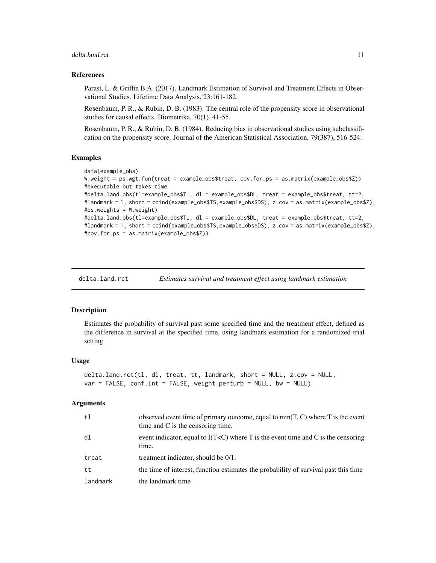#### <span id="page-10-0"></span>delta.land.rct 11

#### References

Parast, L. & Griffin B.A. (2017). Landmark Estimation of Survival and Treatment Effects in Observational Studies. Lifetime Data Analysis, 23:161-182.

Rosenbaum, P. R., & Rubin, D. B. (1983). The central role of the propensity score in observational studies for causal effects. Biometrika, 70(1), 41-55.

Rosenbaum, P. R., & Rubin, D. B. (1984). Reducing bias in observational studies using subclassification on the propensity score. Journal of the American Statistical Association, 79(387), 516-524.

#### Examples

```
data(example_obs)
W.weight = ps.wgt.fun(treat = example_obs$treat, cov.for.ps = as.matrix(example_obs$Z))
#executable but takes time
#delta.land.obs(tl=example_obs$TL, dl = example_obs$DL, treat = example_obs$treat, tt=2,
#landmark = 1, short = cbind(example_obs$TS,example_obs$DS), z.cov = as.matrix(example_obs$Z),
#ps.weights = W.weight)
#delta.land.obs(tl=example_obs$TL, dl = example_obs$DL, treat = example_obs$treat, tt=2,
#landmark = 1, short = cbind(example_obs$TS,example_obs$DS), z.cov = as.matrix(example_obs$Z),
#cov.for.ps = as.matrix(example_obs$Z))
```
delta.land.rct *Estimates survival and treatment effect using landmark estimation*

#### **Description**

Estimates the probability of survival past some specified time and the treatment effect, defined as the difference in survival at the specified time, using landmark estimation for a randomized trial setting

#### Usage

```
delta.land.rct(tl, dl, treat, tt, landmark, short = NULL, z.cov = NULL,
var = FALSE, conf.int = FALSE, weight.perturb = NULL, bw = NULL)
```
#### Arguments

| t1       | observed event time of primary outcome, equal to $min(T, C)$ where T is the event<br>time and $C$ is the censoring time. |
|----------|--------------------------------------------------------------------------------------------------------------------------|
| dl       | event indicator, equal to $I(T\le C)$ where T is the event time and C is the censoring<br>time.                          |
| treat    | treatment indicator, should be 0/1.                                                                                      |
| tt       | the time of interest, function estimates the probability of survival past this time                                      |
| landmark | the landmark time                                                                                                        |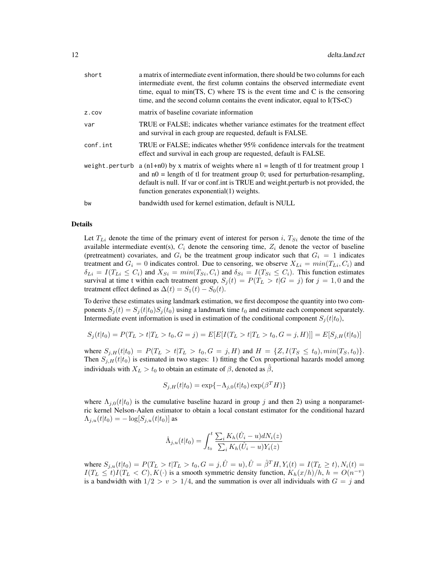| short    | a matrix of intermediate event information, there should be two columns for each<br>intermediate event, the first column contains the observed intermediate event<br>time, equal to min(TS, C) where TS is the event time and $C$ is the censoring<br>time, and the second column contains the event indicator, equal to I(TS <c)< th=""></c)<> |
|----------|-------------------------------------------------------------------------------------------------------------------------------------------------------------------------------------------------------------------------------------------------------------------------------------------------------------------------------------------------|
| z.cov    | matrix of baseline covariate information                                                                                                                                                                                                                                                                                                        |
| var      | TRUE or FALSE; indicates whether variance estimates for the treatment effect<br>and survival in each group are requested, default is FALSE.                                                                                                                                                                                                     |
| conf.int | TRUE or FALSE; indicates whether 95% confidence intervals for the treatment<br>effect and survival in each group are requested, default is FALSE.                                                                                                                                                                                               |
|          | weight perturb a $(n1+n0)$ by x matrix of weights where $n1 =$ length of the for treatment group 1<br>and $n0$ = length of the for treatment group 0; used for perturbation-resampling,<br>default is null. If var or conf.int is TRUE and weight.perturb is not provided, the<br>function generates exponential $(1)$ weights.                 |
| bw       | bandwidth used for kernel estimation, default is NULL                                                                                                                                                                                                                                                                                           |

#### Details

Let  $T_{Li}$  denote the time of the primary event of interest for person i,  $T_{Si}$  denote the time of the available intermediate event(s),  $C_i$  denote the censoring time,  $Z_i$  denote the vector of baseline (pretreatment) covariates, and  $G_i$  be the treatment group indicator such that  $G_i = 1$  indicates treatment and  $G_i = 0$  indicates control. Due to censoring, we observe  $X_{Li} = min(T_{Li}, C_i)$  and  $\delta_{Li} = I(T_{Li} \leq C_i)$  and  $X_{Si} = min(T_{Si}, C_i)$  and  $\delta_{Si} = I(T_{Si} \leq C_i)$ . This function estimates survival at time t within each treatment group,  $S_i(t) = P(T_L > t | G = j)$  for  $j = 1, 0$  and the treatment effect defined as  $\Delta(t) = S_1(t) - S_0(t)$ .

To derive these estimates using landmark estimation, we first decompose the quantity into two components  $S_i(t) = S_i(t|t_0)S_i(t_0)$  using a landmark time  $t_0$  and estimate each component separately. Intermediate event information is used in estimation of the conditional component  $S_i(t|t_0)$ ,

$$
S_j(t|t_0) = P(T_L > t|T_L > t_0, G = j) = E[E[I(T_L > t|T_L > t_0, G = j, H)]] = E[S_{j,H}(t|t_0)]
$$

where  $S_{j,H}(t|t_0) = P(T_L > t|T_L > t_0, G = j, H)$  and  $H = \{Z, I(T_S \le t_0), min(T_S, t_0)\}.$ Then  $S_{j,H}(t|t_0)$  is estimated in two stages: 1) fitting the Cox proportional hazards model among individuals with  $X_L > t_0$  to obtain an estimate of  $\beta$ , denoted as  $\hat{\beta}$ ,

$$
S_{j,H}(t|t_0) = \exp\{-\Lambda_{j,0}(t|t_0) \exp(\beta^T H)\}
$$

where  $\Lambda_{j,0}(t|t_0)$  is the cumulative baseline hazard in group j and then 2) using a nonparametric kernel Nelson-Aalen estimator to obtain a local constant estimator for the conditional hazard  $\Lambda_{j,u}(t|t_0) = -\log[S_{j,u}(t|t_0)]$  as

$$
\hat{\Lambda}_{j,u}(t|t_0) = \int_{t_0}^t \frac{\sum_i K_h(\hat{U}_i - u)dN_i(z)}{\sum_i K_h(\hat{U}_i - u)Y_i(z)}
$$

where  $S_{j,u}(t|t_0) = P(T_L > t | T_L > t_0, G = j, \hat{U} = u), \hat{U} = \hat{\beta}^T H, Y_i(t) = I(T_L \ge t), N_i(t) =$  $I(T_L \le t)I(T_L < C), K(\cdot)$  is a smooth symmetric density function,  $K_h(x/h)/h$ ,  $h = O(n^{-v})$ is a bandwidth with  $1/2 > v > 1/4$ , and the summation is over all individuals with  $G = j$  and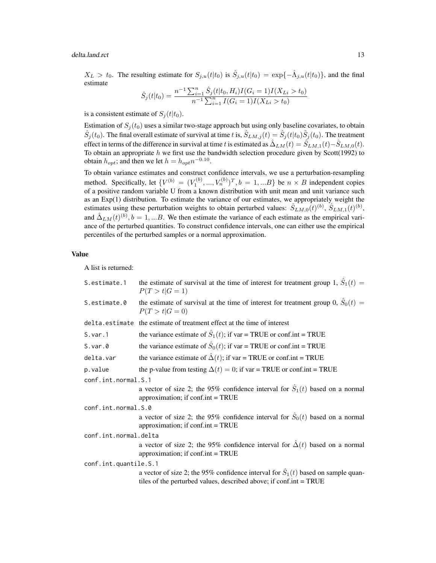delta.land.rct 13

 $X_L > t_0$ . The resulting estimate for  $S_{j,u}(t|t_0)$  is  $\hat{S}_{j,u}(t|t_0) = \exp\{-\hat{\Lambda}_{j,u}(t|t_0)\}$ , and the final estimate

$$
\hat{S}_j(t|t_0) = \frac{n^{-1} \sum_{i=1}^n \hat{S}_j(t|t_0, H_i) I(G_i = 1) I(X_{Li} > t_0)}{n^{-1} \sum_{i=1}^n I(G_i = 1) I(X_{Li} > t_0)}
$$

is a consistent estimate of  $S_i(t|t_0)$ .

Estimation of  $S_i(t_0)$  uses a similar two-stage approach but using only baseline covariates, to obtain  $\hat{S}_j(t_0)$ . The final overall estimate of survival at time t is,  $\hat{S}_{LM,j}(t) = \hat{S}_j(t|t_0)\hat{S}_j(t_0)$ . The treatment effect in terms of the difference in survival at time t is estimated as  $\hat{\Delta}_{LM}(t) = \hat{S}_{LM,1}(t) - \hat{S}_{LM,0}(t)$ . To obtain an appropriate  $h$  we first use the bandwidth selection procedure given by Scott(1992) to obtain  $h_{opt}$ ; and then we let  $h = h_{opt} n^{-0.10}$ .

To obtain variance estimates and construct confidence intervals, we use a perturbation-resampling method. Specifically, let  $\{V^{(b)} = (V_1^{(b)},...,V_n^{(b)})^T, b = 1,...B\}$  be  $n \times B$  independent copies of a positive random variable U from a known distribution with unit mean and unit variance such as an Exp(1) distribution. To estimate the variance of our estimates, we appropriately weight the estimates using these perturbation weights to obtain perturbed values:  $\hat{S}_{LM,0}(t)^{(b)}$ ,  $\hat{S}_{LM,1}(t)^{(b)}$ , and  $\hat{\Delta}_{LM}(t)^{(b)}, b = 1,...B$ . We then estimate the variance of each estimate as the empirical variance of the perturbed quantities. To construct confidence intervals, one can either use the empirical percentiles of the perturbed samples or a normal approximation.

## Value

A list is returned:

| S.estimate.1          | the estimate of survival at the time of interest for treatment group 1, $\hat{S}_1(t)$ =<br>$P(T > t   G = 1)$                                                 |  |
|-----------------------|----------------------------------------------------------------------------------------------------------------------------------------------------------------|--|
| S.estimate.0          | the estimate of survival at the time of interest for treatment group 0, $\hat{S}_0(t)$ =<br>$P(T > t   G = 0)$                                                 |  |
| delta.estimate        | the estimate of treatment effect at the time of interest                                                                                                       |  |
| S.var.1               | the variance estimate of $\hat{S}_1(t)$ ; if var = TRUE or conf.int = TRUE                                                                                     |  |
| $S.var.\theta$        | the variance estimate of $\hat{S}_0(t)$ ; if var = TRUE or conf.int = TRUE                                                                                     |  |
| delta.var             | the variance estimate of $\hat{\Delta}(t)$ ; if var = TRUE or conf.int = TRUE                                                                                  |  |
| p.value               | the p-value from testing $\Delta(t) = 0$ ; if var = TRUE or conf.int = TRUE                                                                                    |  |
| conf.int.normal.S.1   |                                                                                                                                                                |  |
|                       | a vector of size 2; the 95% confidence interval for $\hat{S}_1(t)$ based on a normal<br>approximation; if $\text{conf.int} = \text{TRUE}$                      |  |
| conf.int.normal.S.0   |                                                                                                                                                                |  |
|                       | a vector of size 2; the 95% confidence interval for $\hat{S}_0(t)$ based on a normal<br>approximation; if $\text{conf.int} = \text{TRUE}$                      |  |
| conf.int.normal.delta |                                                                                                                                                                |  |
|                       | a vector of size 2; the 95% confidence interval for $\hat{\Delta}(t)$ based on a normal<br>approximation; if $\text{conf.int} = \text{TRUE}$                   |  |
| conf.int.quantile.S.1 |                                                                                                                                                                |  |
|                       | a vector of size 2; the 95% confidence interval for $\hat{S}_1(t)$ based on sample quan-<br>tiles of the perturbed values, described above; if conf.int = TRUE |  |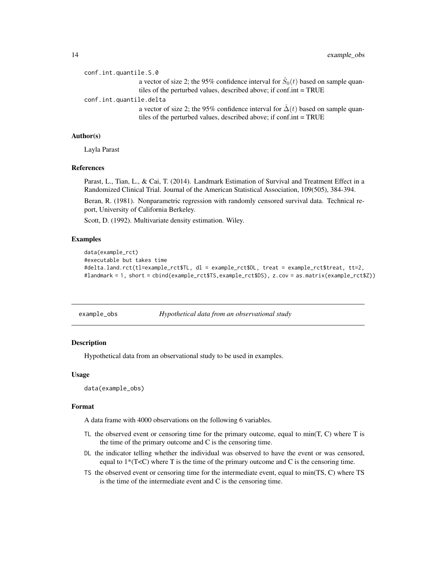```
conf.int.quantile.S.0
```
a vector of size 2; the 95% confidence interval for  $\hat{S}_0(t)$  based on sample quantiles of the perturbed values, described above; if conf.int = TRUE

conf.int.quantile.delta

a vector of size 2; the 95% confidence interval for  $\hat{\Delta}(t)$  based on sample quantiles of the perturbed values, described above; if conf.int = TRUE

#### Author(s)

Layla Parast

#### References

Parast, L., Tian, L., & Cai, T. (2014). Landmark Estimation of Survival and Treatment Effect in a Randomized Clinical Trial. Journal of the American Statistical Association, 109(505), 384-394.

Beran, R. (1981). Nonparametric regression with randomly censored survival data. Technical report, University of California Berkeley.

Scott, D. (1992). Multivariate density estimation. Wiley.

#### Examples

```
data(example_rct)
#executable but takes time
#delta.land.rct(tl=example_rct$TL, dl = example_rct$DL, treat = example_rct$treat, tt=2,
#landmark = 1, short = cbind(example_rct$TS,example_rct$DS), z.cov = as.matrix(example_rct$Z))
```
example\_obs *Hypothetical data from an observational study*

## Description

Hypothetical data from an observational study to be used in examples.

#### Usage

```
data(example_obs)
```
#### Format

A data frame with 4000 observations on the following 6 variables.

- TL the observed event or censoring time for the primary outcome, equal to  $min(T, C)$  where T is the time of the primary outcome and C is the censoring time.
- DL the indicator telling whether the individual was observed to have the event or was censored, equal to  $1*(T\leq C)$  where T is the time of the primary outcome and C is the censoring time.
- TS the observed event or censoring time for the intermediate event, equal to min(TS, C) where TS is the time of the intermediate event and C is the censoring time.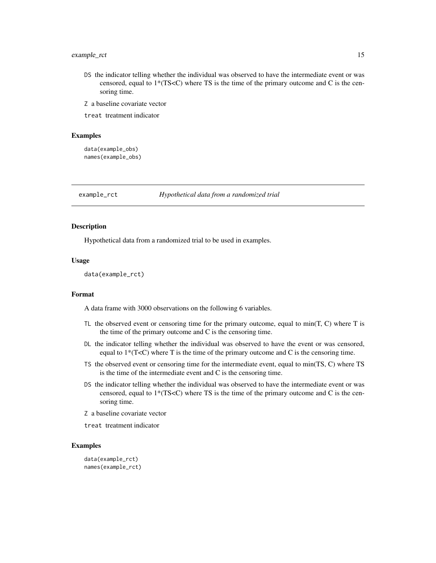## <span id="page-14-0"></span>example\_rct 15

- DS the indicator telling whether the individual was observed to have the intermediate event or was censored, equal to  $1*(TS\le C)$  where TS is the time of the primary outcome and C is the censoring time.
- Z a baseline covariate vector

treat treatment indicator

#### Examples

data(example\_obs) names(example\_obs)

example\_rct *Hypothetical data from a randomized trial*

#### **Description**

Hypothetical data from a randomized trial to be used in examples.

#### Usage

data(example\_rct)

#### Format

A data frame with 3000 observations on the following 6 variables.

- TL the observed event or censoring time for the primary outcome, equal to  $min(T, C)$  where T is the time of the primary outcome and C is the censoring time.
- DL the indicator telling whether the individual was observed to have the event or was censored, equal to  $1*(T\leq C)$  where T is the time of the primary outcome and C is the censoring time.
- TS the observed event or censoring time for the intermediate event, equal to min(TS, C) where TS is the time of the intermediate event and C is the censoring time.
- DS the indicator telling whether the individual was observed to have the intermediate event or was censored, equal to  $1*(TS\lt C)$  where TS is the time of the primary outcome and C is the censoring time.
- Z a baseline covariate vector
- treat treatment indicator

## Examples

```
data(example_rct)
names(example_rct)
```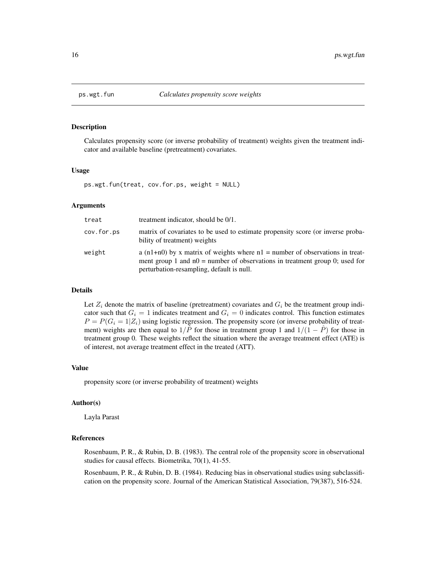<span id="page-15-0"></span>

#### Description

Calculates propensity score (or inverse probability of treatment) weights given the treatment indicator and available baseline (pretreatment) covariates.

#### Usage

ps.wgt.fun(treat, cov.for.ps, weight = NULL)

#### Arguments

| treat      | treatment indicator, should be 0/1.                                                                                                                                                                            |
|------------|----------------------------------------------------------------------------------------------------------------------------------------------------------------------------------------------------------------|
| cov.for.ps | matrix of covariates to be used to estimate propensity score (or inverse proba-<br>bility of treatment) weights                                                                                                |
| weight     | a $(n1+n0)$ by x matrix of weights where $n1$ = number of observations in treat-<br>ment group 1 and $n0$ = number of observations in treatment group 0; used for<br>perturbation-resampling, default is null. |

### Details

Let  $Z_i$  denote the matrix of baseline (pretreatment) covariates and  $G_i$  be the treatment group indicator such that  $G_i = 1$  indicates treatment and  $G_i = 0$  indicates control. This function estimates  $P = P(G_i = 1 | Z_i)$  using logistic regression. The propensity score (or inverse probability of treatment) weights are then equal to  $1/\hat{P}$  for those in treatment group 1 and  $1/(1 - \hat{P})$  for those in treatment group 0. These weights reflect the situation where the average treatment effect (ATE) is of interest, not average treatment effect in the treated (ATT).

#### Value

propensity score (or inverse probability of treatment) weights

#### Author(s)

Layla Parast

## References

Rosenbaum, P. R., & Rubin, D. B. (1983). The central role of the propensity score in observational studies for causal effects. Biometrika, 70(1), 41-55.

Rosenbaum, P. R., & Rubin, D. B. (1984). Reducing bias in observational studies using subclassification on the propensity score. Journal of the American Statistical Association, 79(387), 516-524.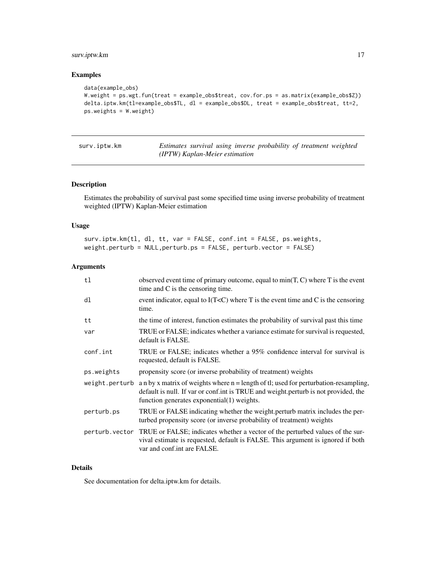## <span id="page-16-0"></span>surv.iptw.km 17

## Examples

```
data(example_obs)
W.weight = ps.wgt.fun(treat = example_obs$treat, cov.for.ps = as.matrix(example_obs$Z))
delta.iptw.km(tl=example_obs$TL, dl = example_obs$DL, treat = example_obs$treat, tt=2,
ps.weights = W.weight)
```

|--|

Estimates survival using inverse probability of treatment weighted *(IPTW) Kaplan-Meier estimation*

## Description

Estimates the probability of survival past some specified time using inverse probability of treatment weighted (IPTW) Kaplan-Meier estimation

#### Usage

surv.iptw.km(tl, dl, tt, var = FALSE, conf.int = FALSE, ps.weights, weight.perturb = NULL,perturb.ps = FALSE, perturb.vector = FALSE)

#### Arguments

| tl             | observed event time of primary outcome, equal to $min(T, C)$ where T is the event<br>time and C is the censoring time.                                                                                                      |
|----------------|-----------------------------------------------------------------------------------------------------------------------------------------------------------------------------------------------------------------------------|
| dl             | event indicator, equal to $I(T\le C)$ where T is the event time and C is the censoring<br>time.                                                                                                                             |
| tt             | the time of interest, function estimates the probability of survival past this time                                                                                                                                         |
| var            | TRUE or FALSE; indicates whether a variance estimate for survival is requested,<br>default is FALSE.                                                                                                                        |
| conf.int       | TRUE or FALSE; indicates whether a 95% confidence interval for survival is<br>requested, default is FALSE.                                                                                                                  |
| ps.weights     | propensity score (or inverse probability of treatment) weights                                                                                                                                                              |
| weight.perturb | a n by x matrix of weights where $n =$ length of tl; used for perturbation-resampling,<br>default is null. If var or conf.int is TRUE and weight.perturb is not provided, the<br>function generates exponential(1) weights. |
| perturb.ps     | TRUE or FALSE indicating whether the weight perturb matrix includes the per-<br>turbed propensity score (or inverse probability of treatment) weights                                                                       |
|                | perturb vector TRUE or FALSE; indicates whether a vector of the perturbed values of the sur-<br>vival estimate is requested, default is FALSE. This argument is ignored if both<br>var and conf.int are FALSE.              |

### Details

See documentation for delta.iptw.km for details.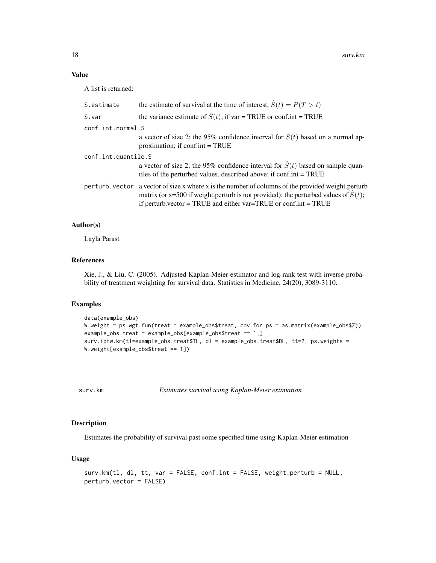### Value

A list is returned:

| S.estimate          | the estimate of survival at the time of interest, $\hat{S}(t) = P(T > t)$                                                                                                                                                                                                 |
|---------------------|---------------------------------------------------------------------------------------------------------------------------------------------------------------------------------------------------------------------------------------------------------------------------|
| S.var               | the variance estimate of $\hat{S}(t)$ ; if var = TRUE or conf.int = TRUE                                                                                                                                                                                                  |
| conf.int.normal.S   |                                                                                                                                                                                                                                                                           |
|                     | a vector of size 2; the 95% confidence interval for $\hat{S}(t)$ based on a normal ap-<br>proximation; if $conf.int = TRUE$                                                                                                                                               |
| conf.int.quantile.S |                                                                                                                                                                                                                                                                           |
|                     | a vector of size 2; the 95% confidence interval for $\hat{S}(t)$ based on sample quan-<br>tiles of the perturbed values, described above; if conf.int = TRUE                                                                                                              |
|                     | perturb. vector a vector of size x where x is the number of columns of the provided weight. perturb<br>matrix (or x=500 if weight perturb is not provided); the perturbed values of $\hat{S}(t)$ ;<br>if perturb vector = TRUE and either $var = TRUE$ or conf.int = TRUE |

#### Author(s)

Layla Parast

## References

Xie, J., & Liu, C. (2005). Adjusted Kaplan-Meier estimator and log-rank test with inverse probability of treatment weighting for survival data. Statistics in Medicine, 24(20), 3089-3110.

#### Examples

```
data(example_obs)
W.weight = ps.wgt.fun(treat = example_obs$treat, cov.for.ps = as.matrix(example_obs$Z))
example_obs.treat = example_obs[example_obs$treat == 1,]
surv.iptw.km(tl=example_obs.treat$TL, dl = example_obs.treat$DL, tt=2, ps.weights =
W.weight[example_obs$treat == 1])
```
surv.km *Estimates survival using Kaplan-Meier estimation*

## Description

Estimates the probability of survival past some specified time using Kaplan-Meier estimation

#### Usage

```
surv.km(tl, dl, tt, var = FALSE, conf.int = FALSE, weight.perturb = NULL,
perturb.vector = FALSE)
```
<span id="page-17-0"></span>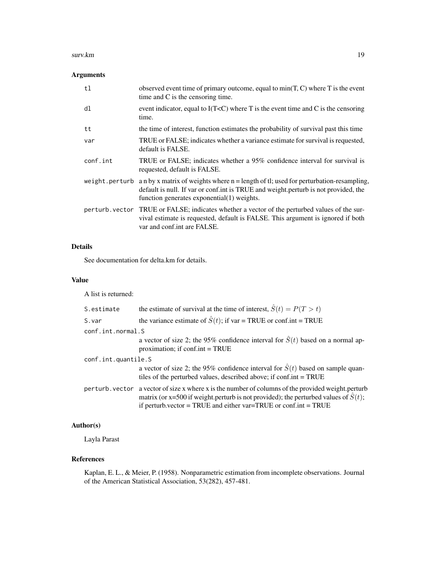#### surv.km and the state of the state of the state of the state of the state of the state of the state of the state of the state of the state of the state of the state of the state of the state of the state of the state of th

## Arguments

| tl       | observed event time of primary outcome, equal to $min(T, C)$ where T is the event<br>time and C is the censoring time.                                                                                                                    |
|----------|-------------------------------------------------------------------------------------------------------------------------------------------------------------------------------------------------------------------------------------------|
| dl       | event indicator, equal to $I(T0)$ where T is the event time and C is the censoring<br>time.                                                                                                                                               |
| tt       | the time of interest, function estimates the probability of survival past this time                                                                                                                                                       |
| var      | TRUE or FALSE; indicates whether a variance estimate for survival is requested,<br>default is FALSE.                                                                                                                                      |
| conf.int | TRUE or FALSE; indicates whether a 95% confidence interval for survival is<br>requested, default is FALSE.                                                                                                                                |
|          | weight.perturb an by x matrix of weights where $n =$ length of tl; used for perturbation-resampling,<br>default is null. If var or conf.int is TRUE and weight.perturb is not provided, the<br>function generates exponential(1) weights. |
|          | perturb vector TRUE or FALSE; indicates whether a vector of the perturbed values of the sur-<br>vival estimate is requested, default is FALSE. This argument is ignored if both<br>var and conf.int are FALSE.                            |

## Details

See documentation for delta.km for details.

#### Value

A list is returned:

| S.estimate          | the estimate of survival at the time of interest, $\hat{S}(t) = P(T > t)$                                                                                                                                                                                                 |
|---------------------|---------------------------------------------------------------------------------------------------------------------------------------------------------------------------------------------------------------------------------------------------------------------------|
| S.var               | the variance estimate of $\hat{S}(t)$ ; if var = TRUE or conf.int = TRUE                                                                                                                                                                                                  |
| conf.int.normal.S   |                                                                                                                                                                                                                                                                           |
|                     | a vector of size 2; the 95% confidence interval for $\hat{S}(t)$ based on a normal ap-<br>proximation; if $\text{conf.int} = \text{TRUE}$                                                                                                                                 |
| conf.int.quantile.S |                                                                                                                                                                                                                                                                           |
|                     | a vector of size 2; the 95% confidence interval for $\hat{S}(t)$ based on sample quan-<br>tiles of the perturbed values, described above; if conf.int = TRUE                                                                                                              |
|                     | perturb. vector a vector of size x where x is the number of columns of the provided weight. perturb<br>matrix (or x=500 if weight perturb is not provided); the perturbed values of $\hat{S}(t)$ ;<br>if perturb vector = TRUE and either $var = TRUE$ or conf.int = TRUE |

## Author(s)

Layla Parast

## References

Kaplan, E. L., & Meier, P. (1958). Nonparametric estimation from incomplete observations. Journal of the American Statistical Association, 53(282), 457-481.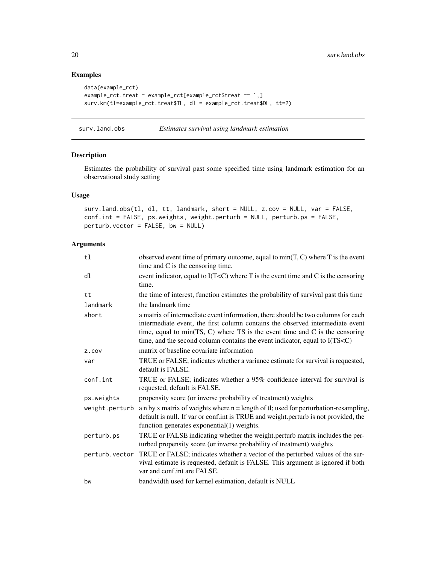## Examples

```
data(example_rct)
example_rct.treat = example_rct[example_rct$treat == 1,]
surv.km(tl=example_rct.treat$TL, dl = example_rct.treat$DL, tt=2)
```
surv.land.obs *Estimates survival using landmark estimation*

#### Description

Estimates the probability of survival past some specified time using landmark estimation for an observational study setting

## Usage

surv.land.obs(tl, dl, tt, landmark, short = NULL, z.cov = NULL, var = FALSE, conf.int = FALSE, ps.weights, weight.perturb = NULL, perturb.ps = FALSE, perturb.vector = FALSE, bw = NULL)

## Arguments

| observed event time of primary outcome, equal to $min(T, C)$ where T is the event<br>time and C is the censoring time.                                                                                                                                                                                                                          |
|-------------------------------------------------------------------------------------------------------------------------------------------------------------------------------------------------------------------------------------------------------------------------------------------------------------------------------------------------|
| event indicator, equal to $I(TC)$ where T is the event time and C is the censoring<br>time.                                                                                                                                                                                                                                                     |
| the time of interest, function estimates the probability of survival past this time                                                                                                                                                                                                                                                             |
| the landmark time                                                                                                                                                                                                                                                                                                                               |
| a matrix of intermediate event information, there should be two columns for each<br>intermediate event, the first column contains the observed intermediate event<br>time, equal to min(TS, C) where $TS$ is the event time and C is the censoring<br>time, and the second column contains the event indicator, equal to I(TS <c)< td=""></c)<> |
| matrix of baseline covariate information                                                                                                                                                                                                                                                                                                        |
| TRUE or FALSE; indicates whether a variance estimate for survival is requested,<br>default is FALSE.                                                                                                                                                                                                                                            |
| TRUE or FALSE; indicates whether a 95% confidence interval for survival is<br>requested, default is FALSE.                                                                                                                                                                                                                                      |
| propensity score (or inverse probability of treatment) weights                                                                                                                                                                                                                                                                                  |
| a n by x matrix of weights where $n =$ length of tl; used for perturbation-resampling,<br>default is null. If var or conf.int is TRUE and weight.perturb is not provided, the<br>function generates exponential(1) weights.                                                                                                                     |
| TRUE or FALSE indicating whether the weight.perturb matrix includes the per-<br>turbed propensity score (or inverse probability of treatment) weights                                                                                                                                                                                           |
| TRUE or FALSE; indicates whether a vector of the perturbed values of the sur-<br>vival estimate is requested, default is FALSE. This argument is ignored if both<br>var and conf.int are FALSE.                                                                                                                                                 |
| bandwidth used for kernel estimation, default is NULL                                                                                                                                                                                                                                                                                           |
|                                                                                                                                                                                                                                                                                                                                                 |

<span id="page-19-0"></span>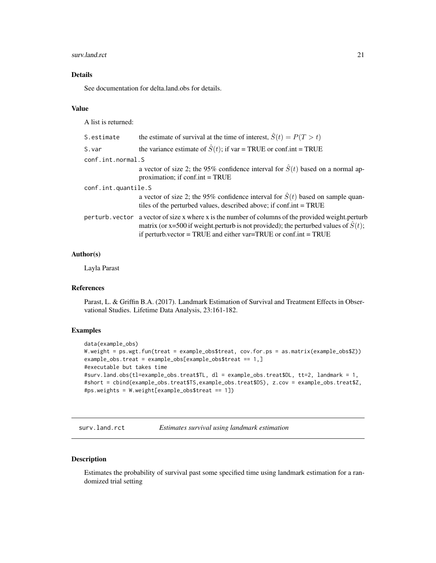#### <span id="page-20-0"></span>surv.land.rct 21

## Details

See documentation for delta.land.obs for details.

#### Value

A list is returned:

| S.estimate          | the estimate of survival at the time of interest, $\hat{S}(t) = P(T > t)$                                                                                                                                                                                                  |
|---------------------|----------------------------------------------------------------------------------------------------------------------------------------------------------------------------------------------------------------------------------------------------------------------------|
| S.var               | the variance estimate of $\hat{S}(t)$ ; if var = TRUE or conf.int = TRUE                                                                                                                                                                                                   |
| conf.int.normal.S   |                                                                                                                                                                                                                                                                            |
|                     | a vector of size 2; the 95% confidence interval for $\hat{S}(t)$ based on a normal ap-<br>proximation; if $conf.int = TRUE$                                                                                                                                                |
| conf.int.quantile.S |                                                                                                                                                                                                                                                                            |
|                     | a vector of size 2; the 95% confidence interval for $\hat{S}(t)$ based on sample quan-<br>tiles of the perturbed values, described above; if conf.int = TRUE                                                                                                               |
|                     | per turb. vector a vector of size x where x is the number of columns of the provided weight. perturb<br>matrix (or x=500 if weight perturb is not provided); the perturbed values of $\hat{S}(t)$ ;<br>if perturb.vector = TRUE and either $var = TRUE$ or conf.int = TRUE |

## Author(s)

Layla Parast

#### References

Parast, L. & Griffin B.A. (2017). Landmark Estimation of Survival and Treatment Effects in Observational Studies. Lifetime Data Analysis, 23:161-182.

## Examples

```
data(example_obs)
W.weight = ps.wgt.fun(treat = example_obs$treat, cov.for.ps = as.matrix(example_obs$Z))
example_obs.treat = example_obs[example_obs$treat == 1,]
#executable but takes time
#surv.land.obs(tl=example_obs.treat$TL, dl = example_obs.treat$DL, tt=2, landmark = 1,
#short = cbind(example_obs.treat$TS,example_obs.treat$DS), z.cov = example_obs.treat$Z,
#ps.weights = W.weight[example_obs$treat == 1])
```
surv.land.rct *Estimates survival using landmark estimation*

## Description

Estimates the probability of survival past some specified time using landmark estimation for a randomized trial setting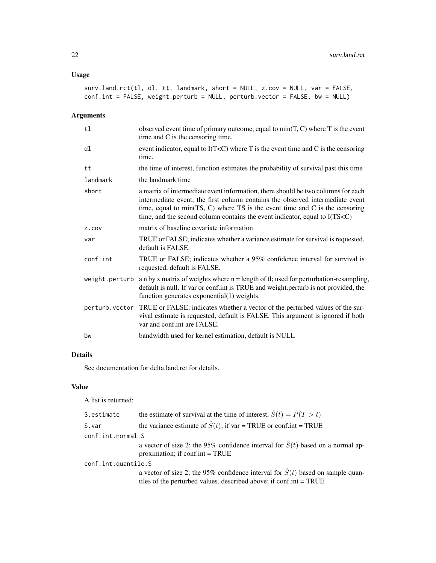## Usage

```
surv.land.rct(tl, dl, tt, landmark, short = NULL, z.cov = NULL, var = FALSE,
conf.int = FALSE, weight.perturb = NULL, perturb.vector = FALSE, bw = NULL)
```
## Arguments

| tl             | observed event time of primary outcome, equal to $min(T, C)$ where T is the event<br>time and C is the censoring time.                                                                                                                                                                                                                          |
|----------------|-------------------------------------------------------------------------------------------------------------------------------------------------------------------------------------------------------------------------------------------------------------------------------------------------------------------------------------------------|
| dl             | event indicator, equal to $I(TC)$ where T is the event time and C is the censoring<br>time.                                                                                                                                                                                                                                                     |
| tt             | the time of interest, function estimates the probability of survival past this time                                                                                                                                                                                                                                                             |
| landmark       | the landmark time                                                                                                                                                                                                                                                                                                                               |
| short          | a matrix of intermediate event information, there should be two columns for each<br>intermediate event, the first column contains the observed intermediate event<br>time, equal to min(TS, C) where $TS$ is the event time and C is the censoring<br>time, and the second column contains the event indicator, equal to I(TS <c)< td=""></c)<> |
| Z.COV          | matrix of baseline covariate information                                                                                                                                                                                                                                                                                                        |
| var            | TRUE or FALSE; indicates whether a variance estimate for survival is requested,<br>default is FALSE.                                                                                                                                                                                                                                            |
| conf.int       | TRUE or FALSE; indicates whether a 95% confidence interval for survival is<br>requested, default is FALSE.                                                                                                                                                                                                                                      |
| weight.perturb | a n by x matrix of weights where $n =$ length of tl; used for perturbation-resampling,<br>default is null. If var or conf.int is TRUE and weight.perturb is not provided, the<br>function generates exponential(1) weights.                                                                                                                     |
|                | perturb. vector TRUE or FALSE; indicates whether a vector of the perturbed values of the sur-<br>vival estimate is requested, default is FALSE. This argument is ignored if both<br>var and conf.int are FALSE.                                                                                                                                 |
| bw             | bandwidth used for kernel estimation, default is NULL                                                                                                                                                                                                                                                                                           |

## Details

See documentation for delta.land.rct for details.

## Value

A list is returned:

| S.estimate          | the estimate of survival at the time of interest, $\hat{S}(t) = P(T > t)$                                                                                    |
|---------------------|--------------------------------------------------------------------------------------------------------------------------------------------------------------|
| S.var               | the variance estimate of $\hat{S}(t)$ ; if var = TRUE or conf.int = TRUE                                                                                     |
| conf.int.normal.S   |                                                                                                                                                              |
|                     | a vector of size 2; the 95% confidence interval for $\hat{S}(t)$ based on a normal ap-<br>proximation; if $conf.int = TRUE$                                  |
| conf.int.quantile.S |                                                                                                                                                              |
|                     | a vector of size 2; the 95% confidence interval for $\hat{S}(t)$ based on sample quan-<br>tiles of the perturbed values, described above; if conf.int = TRUE |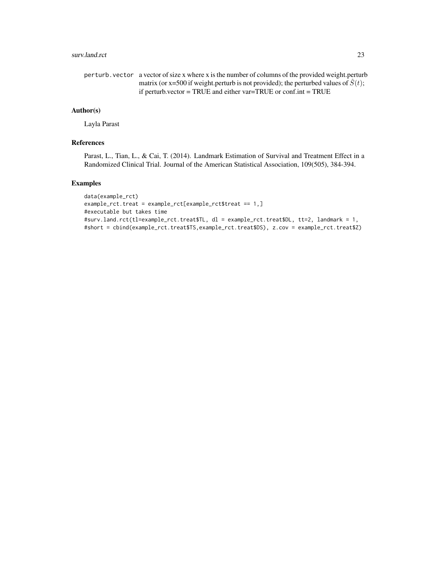## surv.land.rct 23

```
perturb.vector a vector of size x where x is the number of columns of the provided weight.perturb
                   matrix (or x=500 if weight.perturb is not provided); the perturbed values of \hat{S}(t);
                   if perturb.vector = TRUE and either var=TRUE or conf.int = TRUE
```
## Author(s)

Layla Parast

#### References

Parast, L., Tian, L., & Cai, T. (2014). Landmark Estimation of Survival and Treatment Effect in a Randomized Clinical Trial. Journal of the American Statistical Association, 109(505), 384-394.

## Examples

```
data(example_rct)
example_rct.treat = example_rct[example_rct$treat == 1,]
#executable but takes time
#surv.land.rct(tl=example_rct.treat$TL, dl = example_rct.treat$DL, tt=2, landmark = 1,
#short = cbind(example_rct.treat$TS,example_rct.treat$DS), z.cov = example_rct.treat$Z)
```